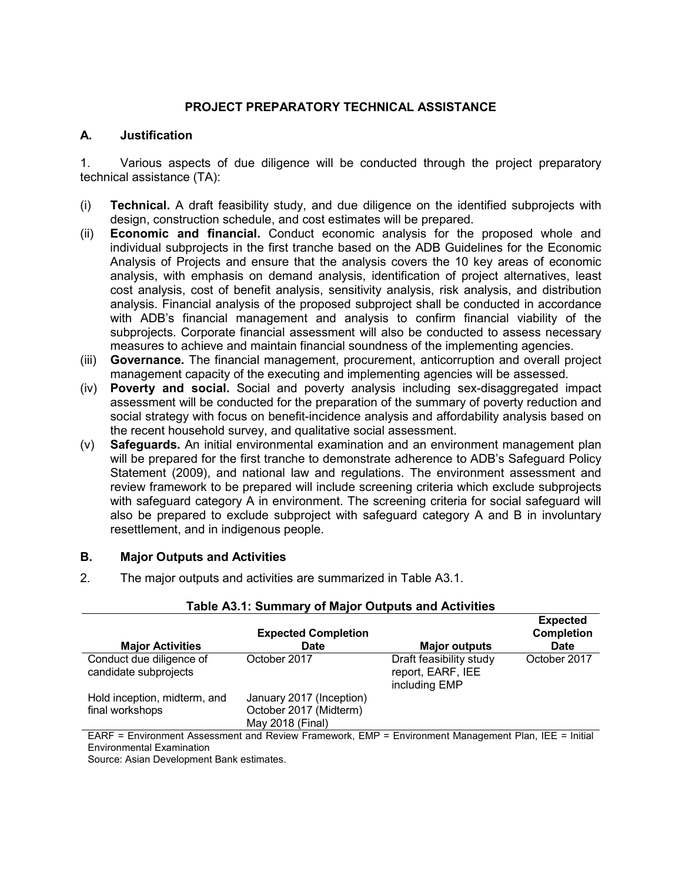## **PROJECT PREPARATORY TECHNICAL ASSISTANCE**

### **A. Justification**

1. Various aspects of due diligence will be conducted through the project preparatory technical assistance (TA):

- (i) **Technical.** A draft feasibility study, and due diligence on the identified subprojects with design, construction schedule, and cost estimates will be prepared.
- (ii) **Economic and financial.** Conduct economic analysis for the proposed whole and individual subprojects in the first tranche based on the ADB Guidelines for the Economic Analysis of Projects and ensure that the analysis covers the 10 key areas of economic analysis, with emphasis on demand analysis, identification of project alternatives, least cost analysis, cost of benefit analysis, sensitivity analysis, risk analysis, and distribution analysis. Financial analysis of the proposed subproject shall be conducted in accordance with ADB's financial management and analysis to confirm financial viability of the subprojects. Corporate financial assessment will also be conducted to assess necessary measures to achieve and maintain financial soundness of the implementing agencies.
- (iii) **Governance.** The financial management, procurement, anticorruption and overall project management capacity of the executing and implementing agencies will be assessed.
- (iv) **Poverty and social.** Social and poverty analysis including sex-disaggregated impact assessment will be conducted for the preparation of the summary of poverty reduction and social strategy with focus on benefit-incidence analysis and affordability analysis based on the recent household survey, and qualitative social assessment.
- (v) **Safeguards.** An initial environmental examination and an environment management plan will be prepared for the first tranche to demonstrate adherence to ADB's Safeguard Policy Statement (2009), and national law and regulations. The environment assessment and review framework to be prepared will include screening criteria which exclude subprojects with safeguard category A in environment. The screening criteria for social safeguard will also be prepared to exclude subproject with safeguard category A and B in involuntary resettlement, and in indigenous people.

### **B. Major Outputs and Activities**

2. The major outputs and activities are summarized in Table A3.1.

| <b>Major Activities</b>                                                                                     | <b>Expected Completion</b><br><b>Date</b> | <b>Major outputs</b>                                          | <b>Expected</b><br><b>Completion</b><br><b>Date</b> |
|-------------------------------------------------------------------------------------------------------------|-------------------------------------------|---------------------------------------------------------------|-----------------------------------------------------|
| Conduct due diligence of<br>candidate subprojects                                                           | October 2017                              | Draft feasibility study<br>report, EARF, IEE<br>including EMP | October 2017                                        |
| Hold inception, midterm, and                                                                                | January 2017 (Inception)                  |                                                               |                                                     |
| final workshops                                                                                             | October 2017 (Midterm)                    |                                                               |                                                     |
|                                                                                                             | May 2018 (Final)                          |                                                               |                                                     |
| $\Box$ ADE - Environment Associament and Deview Eramowerk, EMD - Environment Management Dlan, IEE - Initial |                                           |                                                               |                                                     |

### **Table A3.1: Summary of Major Outputs and Activities**

EARF = Environment Assessment and Review Framework, EMP = Environment Management Plan, IEE = Initial Environmental Examination

Source: Asian Development Bank estimates.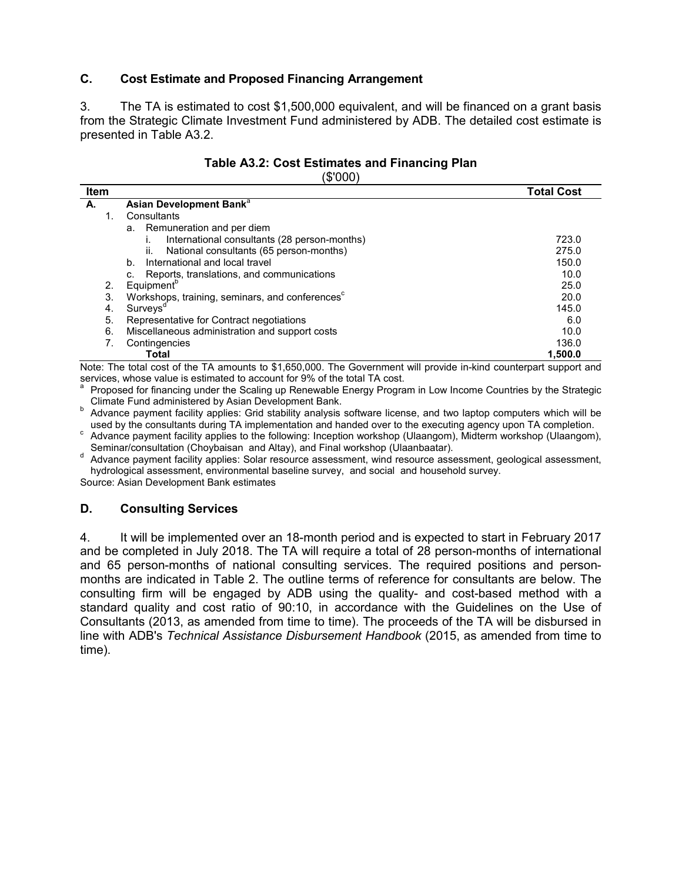## **C. Cost Estimate and Proposed Financing Arrangement**

3. The TA is estimated to cost \$1,500,000 equivalent, and will be financed on a grant basis from the Strategic Climate Investment Fund administered by ADB. The detailed cost estimate is presented in Table A3.2.

#### **Table A3.2: Cost Estimates and Financing Plan**   $(2000)$

|      | ι νυν ψ                                                     |                   |
|------|-------------------------------------------------------------|-------------------|
| Item |                                                             | <b>Total Cost</b> |
| А.   | Asian Development Bank <sup>a</sup>                         |                   |
| 1.   | Consultants                                                 |                   |
|      | Remuneration and per diem<br>a.                             |                   |
|      | International consultants (28 person-months)                | 723.0             |
|      | National consultants (65 person-months)<br>ii.              | 275.0             |
|      | International and local travel<br>b.                        | 150.0             |
|      | Reports, translations, and communications<br>c.             | 10.0              |
| 2.   | Equipment <sup>b</sup>                                      | 25.0              |
| 3.   | Workshops, training, seminars, and conferences <sup>c</sup> | 20.0              |
| 4.   | Surveys <sup>d</sup>                                        | 145.0             |
| 5.   | Representative for Contract negotiations                    | 6.0               |
| 6.   | Miscellaneous administration and support costs              | 10.0              |
| 7.   | Contingencies                                               | 136.0             |
|      | Total                                                       | 1.500.0           |

Note: The total cost of the TA amounts to \$1,650,000. The Government will provide in-kind counterpart support and services, whose value is estimated to account for 9% of the total TA cost.

Proposed for financing under the Scaling up Renewable Energy Program in Low Income Countries by the Strategic Climate Fund administered by Asian Development Bank.

Advance payment facility applies: Grid stability analysis software license, and two laptop computers which will be used by the consultants during TA implementation and handed over to the executing agency upon TA completion.

cadvance payment facility applies to the following: Inception workshop (Ulaangom), Midterm workshop (Ulaangom), Seminar/consultation (Choybaisan and Altay), and Final workshop (Ulaanbaatar).

deterministical substitution (Shoybuburi and Filley), and Filler resource (Showburi Chemistrom, geological assessment, and resource assessment, wind resource assessment, geological assessment, hydrological assessment, environmental baseline survey, and social and household survey.

Source: Asian Development Bank estimates

### **D. Consulting Services**

4. It will be implemented over an 18-month period and is expected to start in February 2017 and be completed in July 2018. The TA will require a total of 28 person-months of international and 65 person-months of national consulting services. The required positions and personmonths are indicated in Table 2. The outline terms of reference for consultants are below. The consulting firm will be engaged by ADB using the quality- and cost-based method with a standard quality and cost ratio of 90:10, in accordance with the Guidelines on the Use of Consultants (2013, as amended from time to time). The proceeds of the TA will be disbursed in line with ADB's *Technical Assistance Disbursement Handbook* (2015, as amended from time to time).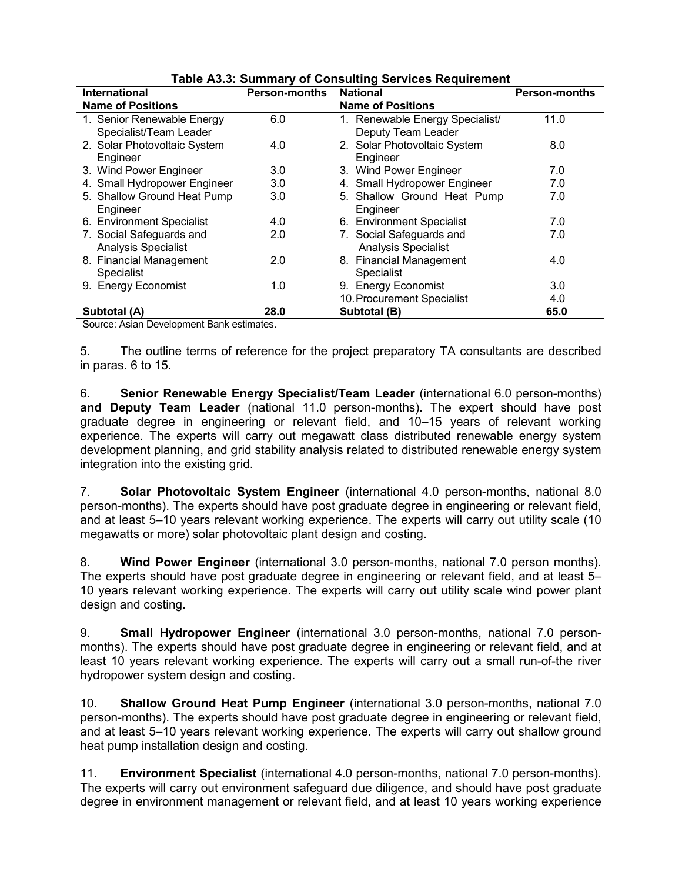| International                                          | <b>Person-months</b> | <b>Table Actor Cammany of Consuming Corvices Requirement</b><br><b>National</b> | <b>Person-months</b> |
|--------------------------------------------------------|----------------------|---------------------------------------------------------------------------------|----------------------|
| <b>Name of Positions</b>                               |                      | <b>Name of Positions</b>                                                        |                      |
| 1. Senior Renewable Energy                             | 6.0                  | 1. Renewable Energy Specialist/                                                 | 11.0                 |
| Specialist/Team Leader<br>2. Solar Photovoltaic System | 4.0                  | Deputy Team Leader<br>2. Solar Photovoltaic System                              | 8.0                  |
| Engineer                                               |                      | Engineer                                                                        |                      |
| 3. Wind Power Engineer                                 | 3.0                  | 3. Wind Power Engineer                                                          | 7.0                  |
| 4. Small Hydropower Engineer                           | 3.0                  | 4. Small Hydropower Engineer                                                    | 7.0                  |
| 5. Shallow Ground Heat Pump                            | 3.0                  | 5. Shallow Ground Heat Pump                                                     | 7.0                  |
| Engineer                                               |                      | Engineer                                                                        |                      |
| 6. Environment Specialist                              | 4.0                  | 6. Environment Specialist                                                       | 7.0                  |
| 7. Social Safeguards and                               | 2.0                  | 7. Social Safeguards and                                                        | 7.0                  |
| <b>Analysis Specialist</b>                             |                      | <b>Analysis Specialist</b>                                                      |                      |
| 8. Financial Management                                | 2.0                  | 8. Financial Management                                                         | 4.0                  |
| Specialist                                             |                      | <b>Specialist</b>                                                               |                      |
| 9. Energy Economist                                    | 1.0                  | 9. Energy Economist                                                             | 3.0                  |
|                                                        |                      | 10. Procurement Specialist                                                      | 4.0                  |
| Subtotal (A)                                           | 28.0                 | Subtotal (B)                                                                    | 65.0                 |

### **Table A3.3: Summary of Consulting Services Requirement**

Source: Asian Development Bank estimates.

5. The outline terms of reference for the project preparatory TA consultants are described in paras. 6 to 15.

6. **Senior Renewable Energy Specialist/Team Leader** (international 6.0 person-months) **and Deputy Team Leader** (national 11.0 person-months). The expert should have post graduate degree in engineering or relevant field, and 10–15 years of relevant working experience. The experts will carry out megawatt class distributed renewable energy system development planning, and grid stability analysis related to distributed renewable energy system integration into the existing grid.

7. **Solar Photovoltaic System Engineer** (international 4.0 person-months, national 8.0 person-months). The experts should have post graduate degree in engineering or relevant field, and at least 5–10 years relevant working experience. The experts will carry out utility scale (10 megawatts or more) solar photovoltaic plant design and costing.

8. **Wind Power Engineer** (international 3.0 person-months, national 7.0 person months). The experts should have post graduate degree in engineering or relevant field, and at least 5– 10 years relevant working experience. The experts will carry out utility scale wind power plant design and costing.

9. **Small Hydropower Engineer** (international 3.0 person-months, national 7.0 personmonths). The experts should have post graduate degree in engineering or relevant field, and at least 10 years relevant working experience. The experts will carry out a small run-of-the river hydropower system design and costing.

10. **Shallow Ground Heat Pump Engineer** (international 3.0 person-months, national 7.0 person-months). The experts should have post graduate degree in engineering or relevant field, and at least 5–10 years relevant working experience. The experts will carry out shallow ground heat pump installation design and costing.

11. **Environment Specialist** (international 4.0 person-months, national 7.0 person-months). The experts will carry out environment safeguard due diligence, and should have post graduate degree in environment management or relevant field, and at least 10 years working experience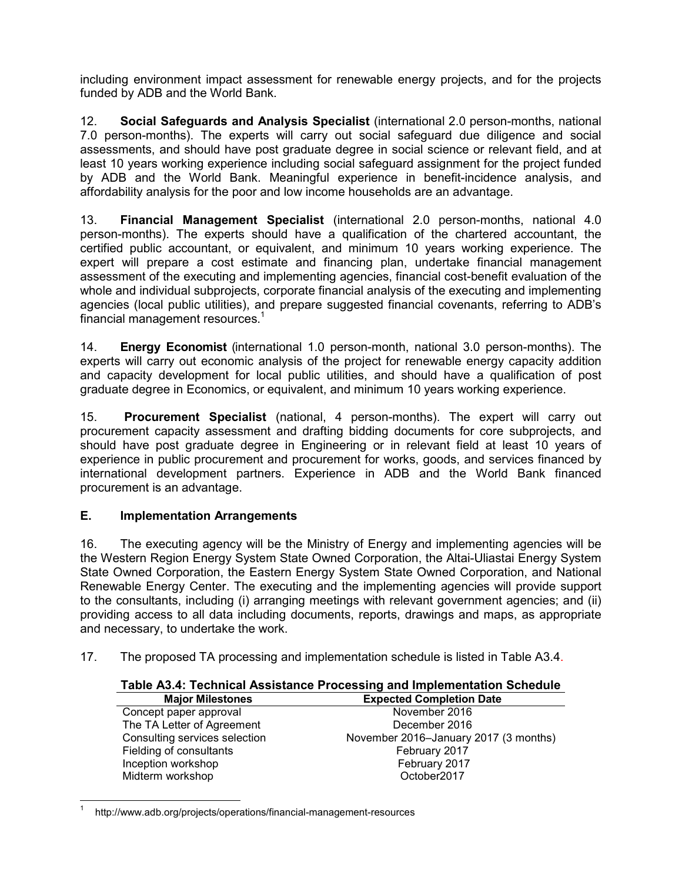including environment impact assessment for renewable energy projects, and for the projects funded by ADB and the World Bank.

12. **Social Safeguards and Analysis Specialist** (international 2.0 person-months, national 7.0 person-months). The experts will carry out social safeguard due diligence and social assessments, and should have post graduate degree in social science or relevant field, and at least 10 years working experience including social safeguard assignment for the project funded by ADB and the World Bank. Meaningful experience in benefit-incidence analysis, and affordability analysis for the poor and low income households are an advantage.

13. **Financial Management Specialist** (international 2.0 person-months, national 4.0 person-months). The experts should have a qualification of the chartered accountant, the certified public accountant, or equivalent, and minimum 10 years working experience. The expert will prepare a cost estimate and financing plan, undertake financial management assessment of the executing and implementing agencies, financial cost-benefit evaluation of the whole and individual subprojects, corporate financial analysis of the executing and implementing agencies (local public utilities), and prepare suggested financial covenants, referring to ADB's financial management resources. $^1$ 

14. **Energy Economist** (international 1.0 person-month, national 3.0 person-months). The experts will carry out economic analysis of the project for renewable energy capacity addition and capacity development for local public utilities, and should have a qualification of post graduate degree in Economics, or equivalent, and minimum 10 years working experience.

15. **Procurement Specialist** (national, 4 person-months). The expert will carry out procurement capacity assessment and drafting bidding documents for core subprojects, and should have post graduate degree in Engineering or in relevant field at least 10 years of experience in public procurement and procurement for works, goods, and services financed by international development partners. Experience in ADB and the World Bank financed procurement is an advantage.

# **E. Implementation Arrangements**

16. The executing agency will be the Ministry of Energy and implementing agencies will be the Western Region Energy System State Owned Corporation, the Altai-Uliastai Energy System State Owned Corporation, the Eastern Energy System State Owned Corporation, and National Renewable Energy Center. The executing and the implementing agencies will provide support to the consultants, including (i) arranging meetings with relevant government agencies; and (ii) providing access to all data including documents, reports, drawings and maps, as appropriate and necessary, to undertake the work.

17. The proposed TA processing and implementation schedule is listed in Table A3.4.

### **Table A3.4: Technical Assistance Processing and Implementation Schedule**

| <b>Major Milestones</b>       | <b>Expected Completion Date</b>       |
|-------------------------------|---------------------------------------|
| Concept paper approval        | November 2016                         |
| The TA Letter of Agreement    | December 2016                         |
| Consulting services selection | November 2016-January 2017 (3 months) |
| Fielding of consultants       | February 2017                         |
| Inception workshop            | February 2017                         |
| Midterm workshop              | October <sub>2017</sub>               |
|                               |                                       |

 $\overline{\phantom{a}}$ 1 http://www.adb.org/projects/operations/financial-management-resources